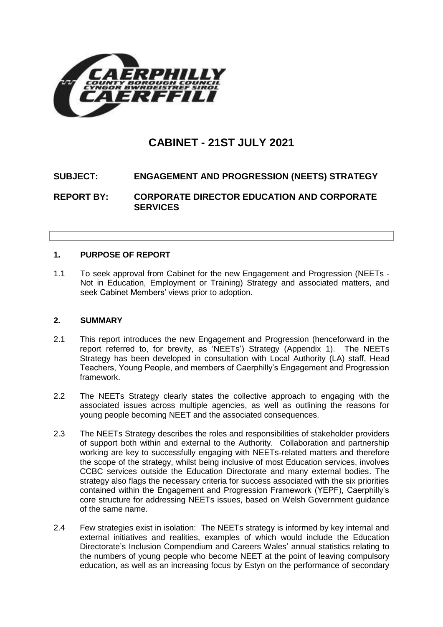

# **CABINET - 21ST JULY 2021**

# **SUBJECT: ENGAGEMENT AND PROGRESSION (NEETS) STRATEGY**

**REPORT BY: CORPORATE DIRECTOR EDUCATION AND CORPORATE SERVICES**

# **1. PURPOSE OF REPORT**

1.1 To seek approval from Cabinet for the new Engagement and Progression (NEETs - Not in Education, Employment or Training) Strategy and associated matters, and seek Cabinet Members' views prior to adoption.

#### **2. SUMMARY**

- 2.1 This report introduces the new Engagement and Progression (henceforward in the report referred to, for brevity, as 'NEETs') Strategy (Appendix 1). The NEETs Strategy has been developed in consultation with Local Authority (LA) staff, Head Teachers, Young People, and members of Caerphilly's Engagement and Progression framework.
- 2.2 The NEETs Strategy clearly states the collective approach to engaging with the associated issues across multiple agencies, as well as outlining the reasons for young people becoming NEET and the associated consequences.
- 2.3 The NEETs Strategy describes the roles and responsibilities of stakeholder providers of support both within and external to the Authority. Collaboration and partnership working are key to successfully engaging with NEETs-related matters and therefore the scope of the strategy, whilst being inclusive of most Education services, involves CCBC services outside the Education Directorate and many external bodies. The strategy also flags the necessary criteria for success associated with the six priorities contained within the Engagement and Progression Framework (YEPF), Caerphilly's core structure for addressing NEETs issues, based on Welsh Government guidance of the same name.
- 2.4 Few strategies exist in isolation: The NEETs strategy is informed by key internal and external initiatives and realities, examples of which would include the Education Directorate's Inclusion Compendium and Careers Wales' annual statistics relating to the numbers of young people who become NEET at the point of leaving compulsory education, as well as an increasing focus by Estyn on the performance of secondary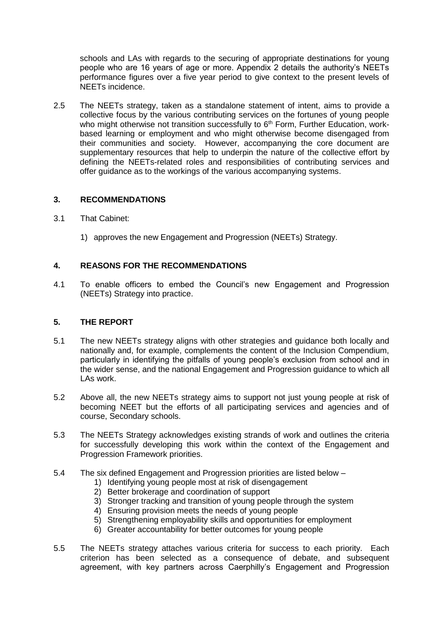schools and LAs with regards to the securing of appropriate destinations for young people who are 16 years of age or more. Appendix 2 details the authority's NEETs performance figures over a five year period to give context to the present levels of NEETs incidence.

2.5 The NEETs strategy, taken as a standalone statement of intent, aims to provide a collective focus by the various contributing services on the fortunes of young people who might otherwise not transition successfully to  $6<sup>th</sup>$  Form, Further Education, workbased learning or employment and who might otherwise become disengaged from their communities and society. However, accompanying the core document are supplementary resources that help to underpin the nature of the collective effort by defining the NEETs-related roles and responsibilities of contributing services and offer guidance as to the workings of the various accompanying systems.

## **3. RECOMMENDATIONS**

- 3.1 That Cabinet:
	- 1) approves the new Engagement and Progression (NEETs) Strategy.

## **4. REASONS FOR THE RECOMMENDATIONS**

4.1 To enable officers to embed the Council's new Engagement and Progression (NEETs) Strategy into practice.

## **5. THE REPORT**

- 5.1 The new NEETs strategy aligns with other strategies and guidance both locally and nationally and, for example, complements the content of the Inclusion Compendium, particularly in identifying the pitfalls of young people's exclusion from school and in the wider sense, and the national Engagement and Progression guidance to which all LAs work.
- 5.2 Above all, the new NEETs strategy aims to support not just young people at risk of becoming NEET but the efforts of all participating services and agencies and of course, Secondary schools.
- 5.3 The NEETs Strategy acknowledges existing strands of work and outlines the criteria for successfully developing this work within the context of the Engagement and Progression Framework priorities.
- 5.4 The six defined Engagement and Progression priorities are listed below
	- 1) Identifying young people most at risk of disengagement
	- 2) Better brokerage and coordination of support
	- 3) Stronger tracking and transition of young people through the system
	- 4) Ensuring provision meets the needs of young people
	- 5) Strengthening employability skills and opportunities for employment
	- 6) Greater accountability for better outcomes for young people
- 5.5 The NEETs strategy attaches various criteria for success to each priority. Each criterion has been selected as a consequence of debate, and subsequent agreement, with key partners across Caerphilly's Engagement and Progression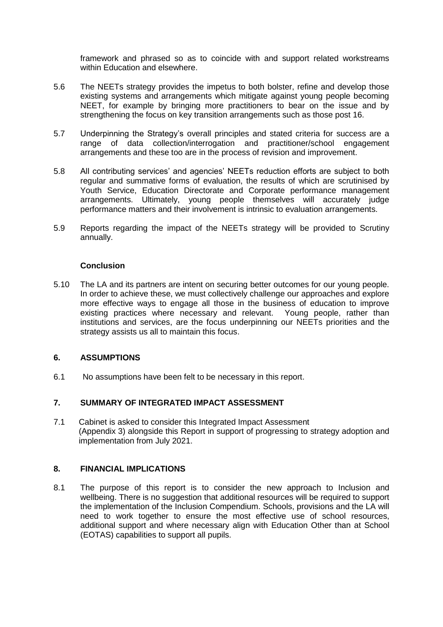framework and phrased so as to coincide with and support related workstreams within Education and elsewhere.

- 5.6 The NEETs strategy provides the impetus to both bolster, refine and develop those existing systems and arrangements which mitigate against young people becoming NEET, for example by bringing more practitioners to bear on the issue and by strengthening the focus on key transition arrangements such as those post 16.
- 5.7 Underpinning the Strategy's overall principles and stated criteria for success are a range of data collection/interrogation and practitioner/school engagement arrangements and these too are in the process of revision and improvement.
- 5.8 All contributing services' and agencies' NEETs reduction efforts are subject to both regular and summative forms of evaluation, the results of which are scrutinised by Youth Service, Education Directorate and Corporate performance management arrangements. Ultimately, young people themselves will accurately judge performance matters and their involvement is intrinsic to evaluation arrangements.
- 5.9 Reports regarding the impact of the NEETs strategy will be provided to Scrutiny annually.

#### **Conclusion**

5.10 The LA and its partners are intent on securing better outcomes for our young people. In order to achieve these, we must collectively challenge our approaches and explore more effective ways to engage all those in the business of education to improve existing practices where necessary and relevant. Young people, rather than institutions and services, are the focus underpinning our NEETs priorities and the strategy assists us all to maintain this focus.

## **6. ASSUMPTIONS**

6.1 No assumptions have been felt to be necessary in this report.

## **7. SUMMARY OF INTEGRATED IMPACT ASSESSMENT**

7.1 Cabinet is asked to consider this Integrated Impact Assessment (Appendix 3) alongside this Report in support of progressing to strategy adoption and implementation from July 2021.

# **8. FINANCIAL IMPLICATIONS**

8.1 The purpose of this report is to consider the new approach to Inclusion and wellbeing. There is no suggestion that additional resources will be required to support the implementation of the Inclusion Compendium. Schools, provisions and the LA will need to work together to ensure the most effective use of school resources, additional support and where necessary align with Education Other than at School (EOTAS) capabilities to support all pupils.